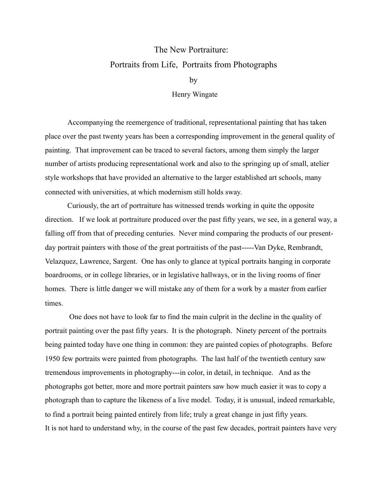## The New Portraiture: Portraits from Life, Portraits from Photographs

by

Henry Wingate

 Accompanying the reemergence of traditional, representational painting that has taken place over the past twenty years has been a corresponding improvement in the general quality of painting. That improvement can be traced to several factors, among them simply the larger number of artists producing representational work and also to the springing up of small, atelier style workshops that have provided an alternative to the larger established art schools, many connected with universities, at which modernism still holds sway.

 Curiously, the art of portraiture has witnessed trends working in quite the opposite direction. If we look at portraiture produced over the past fifty years, we see, in a general way, a falling off from that of preceding centuries. Never mind comparing the products of our presentday portrait painters with those of the great portraitists of the past-----Van Dyke, Rembrandt, Velazquez, Lawrence, Sargent. One has only to glance at typical portraits hanging in corporate boardrooms, or in college libraries, or in legislative hallways, or in the living rooms of finer homes. There is little danger we will mistake any of them for a work by a master from earlier times.

 One does not have to look far to find the main culprit in the decline in the quality of portrait painting over the past fifty years. It is the photograph. Ninety percent of the portraits being painted today have one thing in common: they are painted copies of photographs. Before 1950 few portraits were painted from photographs. The last half of the twentieth century saw tremendous improvements in photography---in color, in detail, in technique. And as the photographs got better, more and more portrait painters saw how much easier it was to copy a photograph than to capture the likeness of a live model. Today, it is unusual, indeed remarkable, to find a portrait being painted entirely from life; truly a great change in just fifty years. It is not hard to understand why, in the course of the past few decades, portrait painters have very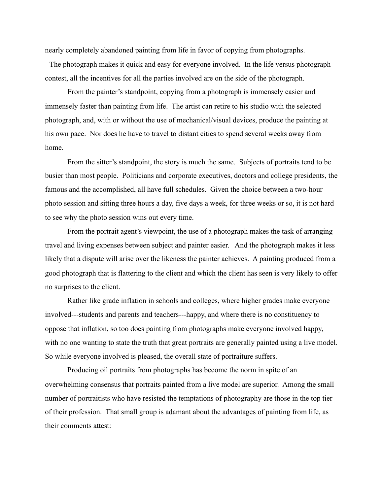nearly completely abandoned painting from life in favor of copying from photographs.

The photograph makes it quick and easy for everyone involved. In the life versus photograph contest, all the incentives for all the parties involved are on the side of the photograph.

 From the painter's standpoint, copying from a photograph is immensely easier and immensely faster than painting from life. The artist can retire to his studio with the selected photograph, and, with or without the use of mechanical/visual devices, produce the painting at his own pace. Nor does he have to travel to distant cities to spend several weeks away from home.

 From the sitter's standpoint, the story is much the same. Subjects of portraits tend to be busier than most people. Politicians and corporate executives, doctors and college presidents, the famous and the accomplished, all have full schedules. Given the choice between a two-hour photo session and sitting three hours a day, five days a week, for three weeks or so, it is not hard to see why the photo session wins out every time.

 From the portrait agent's viewpoint, the use of a photograph makes the task of arranging travel and living expenses between subject and painter easier. And the photograph makes it less likely that a dispute will arise over the likeness the painter achieves. A painting produced from a good photograph that is flattering to the client and which the client has seen is very likely to offer no surprises to the client.

 Rather like grade inflation in schools and colleges, where higher grades make everyone involved---students and parents and teachers---happy, and where there is no constituency to oppose that inflation, so too does painting from photographs make everyone involved happy, with no one wanting to state the truth that great portraits are generally painted using a live model. So while everyone involved is pleased, the overall state of portraiture suffers.

 Producing oil portraits from photographs has become the norm in spite of an overwhelming consensus that portraits painted from a live model are superior. Among the small number of portraitists who have resisted the temptations of photography are those in the top tier of their profession. That small group is adamant about the advantages of painting from life, as their comments attest: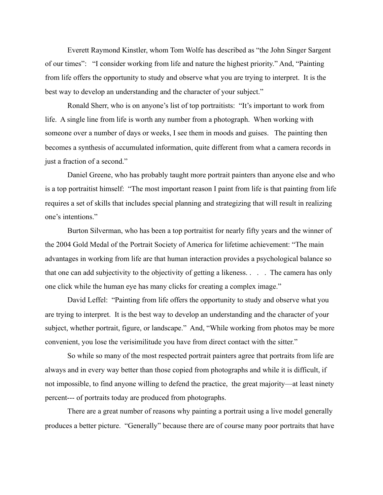Everett Raymond Kinstler, whom Tom Wolfe has described as "the John Singer Sargent of our times": "I consider working from life and nature the highest priority." And, "Painting from life offers the opportunity to study and observe what you are trying to interpret. It is the best way to develop an understanding and the character of your subject."

 Ronald Sherr, who is on anyone's list of top portraitists: "It's important to work from life. A single line from life is worth any number from a photograph. When working with someone over a number of days or weeks, I see them in moods and guises. The painting then becomes a synthesis of accumulated information, quite different from what a camera records in just a fraction of a second."

 Daniel Greene, who has probably taught more portrait painters than anyone else and who is a top portraitist himself: "The most important reason I paint from life is that painting from life requires a set of skills that includes special planning and strategizing that will result in realizing one's intentions."

 Burton Silverman, who has been a top portraitist for nearly fifty years and the winner of the 2004 Gold Medal of the Portrait Society of America for lifetime achievement: "The main advantages in working from life are that human interaction provides a psychological balance so that one can add subjectivity to the objectivity of getting a likeness. . . . The camera has only one click while the human eye has many clicks for creating a complex image."

 David Leffel: "Painting from life offers the opportunity to study and observe what you are trying to interpret. It is the best way to develop an understanding and the character of your subject, whether portrait, figure, or landscape." And, "While working from photos may be more convenient, you lose the verisimilitude you have from direct contact with the sitter."

 So while so many of the most respected portrait painters agree that portraits from life are always and in every way better than those copied from photographs and while it is difficult, if not impossible, to find anyone willing to defend the practice, the great majority—at least ninety percent--- of portraits today are produced from photographs.

 There are a great number of reasons why painting a portrait using a live model generally produces a better picture. "Generally" because there are of course many poor portraits that have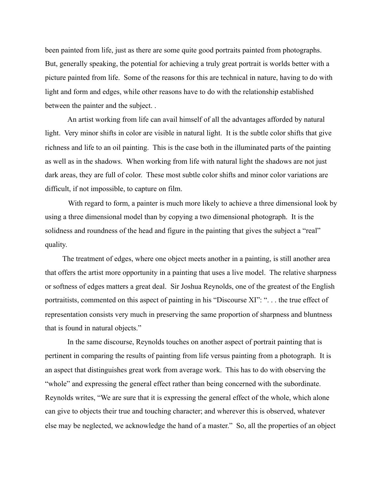been painted from life, just as there are some quite good portraits painted from photographs. But, generally speaking, the potential for achieving a truly great portrait is worlds better with a picture painted from life. Some of the reasons for this are technical in nature, having to do with light and form and edges, while other reasons have to do with the relationship established between the painter and the subject. .

 An artist working from life can avail himself of all the advantages afforded by natural light. Very minor shifts in color are visible in natural light. It is the subtle color shifts that give richness and life to an oil painting. This is the case both in the illuminated parts of the painting as well as in the shadows. When working from life with natural light the shadows are not just dark areas, they are full of color. These most subtle color shifts and minor color variations are difficult, if not impossible, to capture on film.

 With regard to form, a painter is much more likely to achieve a three dimensional look by using a three dimensional model than by copying a two dimensional photograph. It is the solidness and roundness of the head and figure in the painting that gives the subject a "real" quality.

 The treatment of edges, where one object meets another in a painting, is still another area that offers the artist more opportunity in a painting that uses a live model. The relative sharpness or softness of edges matters a great deal. Sir Joshua Reynolds, one of the greatest of the English portraitists, commented on this aspect of painting in his "Discourse XI": ". . . the true effect of representation consists very much in preserving the same proportion of sharpness and bluntness that is found in natural objects."

 In the same discourse, Reynolds touches on another aspect of portrait painting that is pertinent in comparing the results of painting from life versus painting from a photograph. It is an aspect that distinguishes great work from average work. This has to do with observing the "whole" and expressing the general effect rather than being concerned with the subordinate. Reynolds writes, "We are sure that it is expressing the general effect of the whole, which alone can give to objects their true and touching character; and wherever this is observed, whatever else may be neglected, we acknowledge the hand of a master." So, all the properties of an object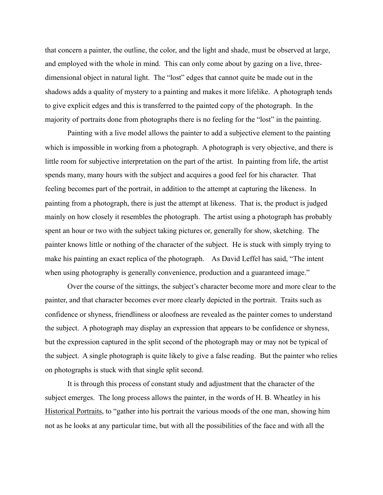that concern a painter, the outline, the color, and the light and shade, must be observed at large, and employed with the whole in mind. This can only come about by gazing on a live, threedimensional object in natural light. The "lost" edges that cannot quite be made out in the shadows adds a quality of mystery to a painting and makes it more lifelike. A photograph tends to give explicit edges and this is transferred to the painted copy of the photograph. In the majority of portraits done from photographs there is no feeling for the "lost" in the painting.

 Painting with a live model allows the painter to add a subjective element to the painting which is impossible in working from a photograph. A photograph is very objective, and there is little room for subjective interpretation on the part of the artist. In painting from life, the artist spends many, many hours with the subject and acquires a good feel for his character. That feeling becomes part of the portrait, in addition to the attempt at capturing the likeness. In painting from a photograph, there is just the attempt at likeness. That is, the product is judged mainly on how closely it resembles the photograph. The artist using a photograph has probably spent an hour or two with the subject taking pictures or, generally for show, sketching. The painter knows little or nothing of the character of the subject. He is stuck with simply trying to make his painting an exact replica of the photograph. As David Leffel has said, "The intent when using photography is generally convenience, production and a guaranteed image."

 Over the course of the sittings, the subject's character become more and more clear to the painter, and that character becomes ever more clearly depicted in the portrait. Traits such as confidence or shyness, friendliness or aloofness are revealed as the painter comes to understand the subject. A photograph may display an expression that appears to be confidence or shyness, but the expression captured in the split second of the photograph may or may not be typical of the subject. A single photograph is quite likely to give a false reading. But the painter who relies on photographs is stuck with that single split second.

 It is through this process of constant study and adjustment that the character of the subject emerges. The long process allows the painter, in the words of H. B. Wheatley in his Historical Portraits, to "gather into his portrait the various moods of the one man, showing him not as he looks at any particular time, but with all the possibilities of the face and with all the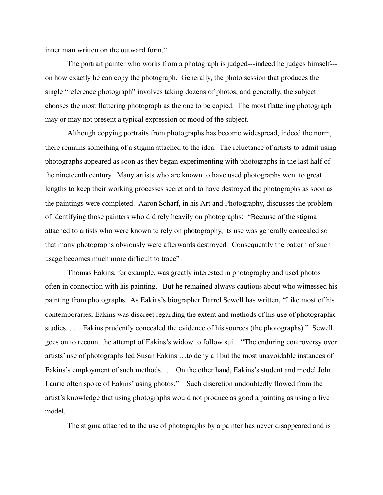inner man written on the outward form."

 The portrait painter who works from a photograph is judged---indeed he judges himself-- on how exactly he can copy the photograph. Generally, the photo session that produces the single "reference photograph" involves taking dozens of photos, and generally, the subject chooses the most flattering photograph as the one to be copied. The most flattering photograph may or may not present a typical expression or mood of the subject.

 Although copying portraits from photographs has become widespread, indeed the norm, there remains something of a stigma attached to the idea. The reluctance of artists to admit using photographs appeared as soon as they began experimenting with photographs in the last half of the nineteenth century. Many artists who are known to have used photographs went to great lengths to keep their working processes secret and to have destroyed the photographs as soon as the paintings were completed. Aaron Scharf, in his Art and Photography, discusses the problem of identifying those painters who did rely heavily on photographs: "Because of the stigma attached to artists who were known to rely on photography, its use was generally concealed so that many photographs obviously were afterwards destroyed. Consequently the pattern of such usage becomes much more difficult to trace"

 Thomas Eakins, for example, was greatly interested in photography and used photos often in connection with his painting. But he remained always cautious about who witnessed his painting from photographs. As Eakins's biographer Darrel Sewell has written, "Like most of his contemporaries, Eakins was discreet regarding the extent and methods of his use of photographic studies. . . . Eakins prudently concealed the evidence of his sources (the photographs)." Sewell goes on to recount the attempt of Eakins's widow to follow suit. "The enduring controversy over artists' use of photographs led Susan Eakins …to deny all but the most unavoidable instances of Eakins's employment of such methods. . . .On the other hand, Eakins's student and model John Laurie often spoke of Eakins' using photos." Such discretion undoubtedly flowed from the artist's knowledge that using photographs would not produce as good a painting as using a live model.

The stigma attached to the use of photographs by a painter has never disappeared and is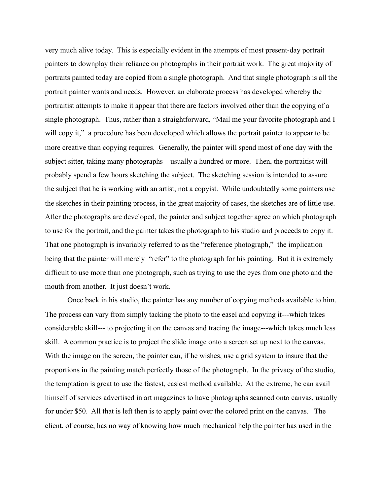very much alive today. This is especially evident in the attempts of most present-day portrait painters to downplay their reliance on photographs in their portrait work. The great majority of portraits painted today are copied from a single photograph. And that single photograph is all the portrait painter wants and needs. However, an elaborate process has developed whereby the portraitist attempts to make it appear that there are factors involved other than the copying of a single photograph. Thus, rather than a straightforward, "Mail me your favorite photograph and I will copy it," a procedure has been developed which allows the portrait painter to appear to be more creative than copying requires. Generally, the painter will spend most of one day with the subject sitter, taking many photographs—usually a hundred or more. Then, the portraitist will probably spend a few hours sketching the subject. The sketching session is intended to assure the subject that he is working with an artist, not a copyist. While undoubtedly some painters use the sketches in their painting process, in the great majority of cases, the sketches are of little use. After the photographs are developed, the painter and subject together agree on which photograph to use for the portrait, and the painter takes the photograph to his studio and proceeds to copy it. That one photograph is invariably referred to as the "reference photograph," the implication being that the painter will merely "refer" to the photograph for his painting. But it is extremely difficult to use more than one photograph, such as trying to use the eyes from one photo and the mouth from another. It just doesn't work.

 Once back in his studio, the painter has any number of copying methods available to him. The process can vary from simply tacking the photo to the easel and copying it---which takes considerable skill--- to projecting it on the canvas and tracing the image---which takes much less skill. A common practice is to project the slide image onto a screen set up next to the canvas. With the image on the screen, the painter can, if he wishes, use a grid system to insure that the proportions in the painting match perfectly those of the photograph. In the privacy of the studio, the temptation is great to use the fastest, easiest method available. At the extreme, he can avail himself of services advertised in art magazines to have photographs scanned onto canvas, usually for under \$50. All that is left then is to apply paint over the colored print on the canvas. The client, of course, has no way of knowing how much mechanical help the painter has used in the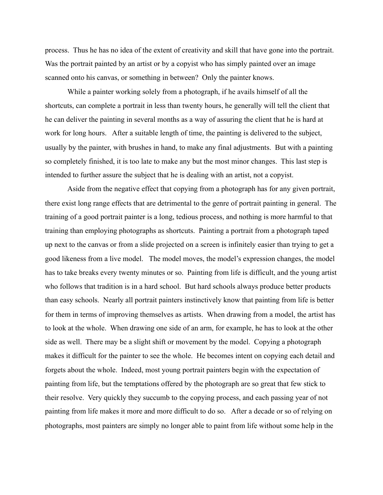process. Thus he has no idea of the extent of creativity and skill that have gone into the portrait. Was the portrait painted by an artist or by a copyist who has simply painted over an image scanned onto his canvas, or something in between? Only the painter knows.

 While a painter working solely from a photograph, if he avails himself of all the shortcuts, can complete a portrait in less than twenty hours, he generally will tell the client that he can deliver the painting in several months as a way of assuring the client that he is hard at work for long hours. After a suitable length of time, the painting is delivered to the subject, usually by the painter, with brushes in hand, to make any final adjustments. But with a painting so completely finished, it is too late to make any but the most minor changes. This last step is intended to further assure the subject that he is dealing with an artist, not a copyist.

 Aside from the negative effect that copying from a photograph has for any given portrait, there exist long range effects that are detrimental to the genre of portrait painting in general. The training of a good portrait painter is a long, tedious process, and nothing is more harmful to that training than employing photographs as shortcuts. Painting a portrait from a photograph taped up next to the canvas or from a slide projected on a screen is infinitely easier than trying to get a good likeness from a live model. The model moves, the model's expression changes, the model has to take breaks every twenty minutes or so. Painting from life is difficult, and the young artist who follows that tradition is in a hard school. But hard schools always produce better products than easy schools. Nearly all portrait painters instinctively know that painting from life is better for them in terms of improving themselves as artists. When drawing from a model, the artist has to look at the whole. When drawing one side of an arm, for example, he has to look at the other side as well. There may be a slight shift or movement by the model. Copying a photograph makes it difficult for the painter to see the whole. He becomes intent on copying each detail and forgets about the whole. Indeed, most young portrait painters begin with the expectation of painting from life, but the temptations offered by the photograph are so great that few stick to their resolve. Very quickly they succumb to the copying process, and each passing year of not painting from life makes it more and more difficult to do so. After a decade or so of relying on photographs, most painters are simply no longer able to paint from life without some help in the